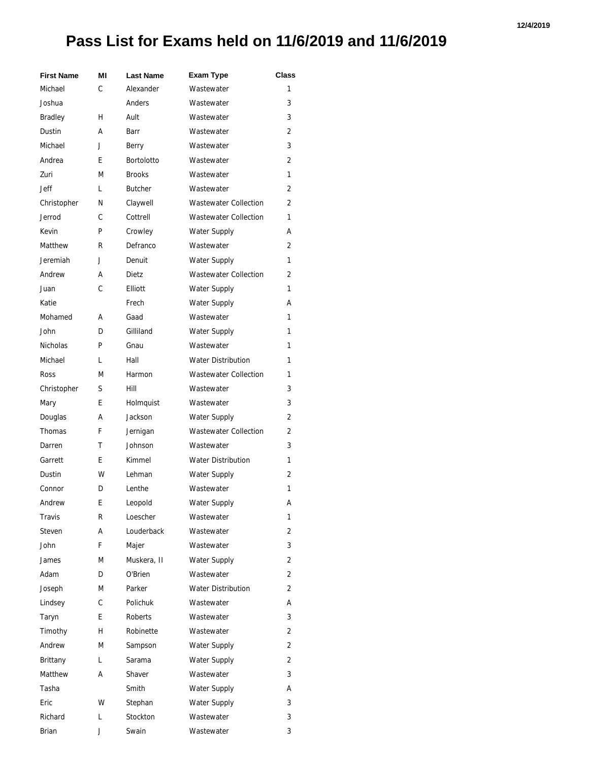## **Pass List for Exams held on 11/6/2019 and 11/6/2019**

| <b>First Name</b> | ΜI | <b>Last Name</b>  | <b>Exam Type</b>             | Class          |
|-------------------|----|-------------------|------------------------------|----------------|
| Michael           | C  | Alexander         | Wastewater                   | 1              |
| Joshua            |    | Anders            | Wastewater                   | 3              |
| <b>Bradley</b>    | н  | Ault              | Wastewater                   | 3              |
| Dustin            | А  | Barr              | Wastewater                   | 2              |
| Michael           | J  | Berry             | Wastewater                   | 3              |
| Andrea            | E  | <b>Bortolotto</b> | Wastewater                   | 2              |
| Zuri              | М  | <b>Brooks</b>     | Wastewater                   | 1              |
| <b>Jeff</b>       | L  | <b>Butcher</b>    | Wastewater                   | 2              |
| Christopher       | N  | Claywell          | <b>Wastewater Collection</b> | 2              |
| Jerrod            | C  | Cottrell          | <b>Wastewater Collection</b> | 1              |
| Kevin             | P  | Crowley           | <b>Water Supply</b>          | А              |
| Matthew           | R  | Defranco          | Wastewater                   | 2              |
| Jeremiah          | J  | Denuit            | <b>Water Supply</b>          | 1              |
| Andrew            | А  | Dietz             | <b>Wastewater Collection</b> | $\overline{2}$ |
| Juan              | C  | Elliott           | Water Supply                 | 1              |
| Katie             |    | Frech             | <b>Water Supply</b>          | А              |
| Mohamed           | А  | Gaad              | Wastewater                   | 1              |
| John              | D  | Gilliland         | Water Supply                 | 1              |
| <b>Nicholas</b>   | P  | Gnau              | Wastewater                   | 1              |
| Michael           | L  | Hall              | <b>Water Distribution</b>    | 1              |
| Ross              | М  | Harmon            | <b>Wastewater Collection</b> | 1              |
| Christopher       | S  | Hill              | Wastewater                   | 3              |
| Mary              | E. | Holmquist         | Wastewater                   | 3              |
| Douglas           | А  | Jackson           | <b>Water Supply</b>          | 2              |
| Thomas            | F  | Jernigan          | <b>Wastewater Collection</b> | 2              |
| Darren            | т  | Johnson           | Wastewater                   | 3              |
| Garrett           | E. | Kimmel            | <b>Water Distribution</b>    | 1              |
| Dustin            | W  | Lehman            | <b>Water Supply</b>          | 2              |
| Connor            | D  | Lenthe            | Wastewater                   | 1              |
| Andrew            | E  | Leopold           | Water Supply                 | А              |
| Travis            | R  | Loescher          | Wastewater                   | 1              |
| Steven            | А  | Louderback        | Wastewater                   | 2              |
| John              | F  | Majer             | Wastewater                   | 3              |
| James             | М  | Muskera, II       | <b>Water Supply</b>          | 2              |
| Adam              | D  | O'Brien           | Wastewater                   | 2              |
| Joseph            | М  | Parker            | <b>Water Distribution</b>    | 2              |
| Lindsey           | C  | Polichuk          | Wastewater                   | А              |
| Taryn             | E  | Roberts           | Wastewater                   | 3              |
| Timothy           | н  | Robinette         | Wastewater                   | 2              |
| Andrew            | M  | Sampson           | <b>Water Supply</b>          | 2              |
| Brittany          | L  | Sarama            | <b>Water Supply</b>          | 2              |
| Matthew           | А  | Shaver            | Wastewater                   | 3              |
| Tasha             |    | Smith             | <b>Water Supply</b>          | А              |
| Eric              | w  | Stephan           | <b>Water Supply</b>          | 3              |
| Richard           | L  | Stockton          | Wastewater                   | 3              |
| Brian             | J  | Swain             | Wastewater                   | 3              |